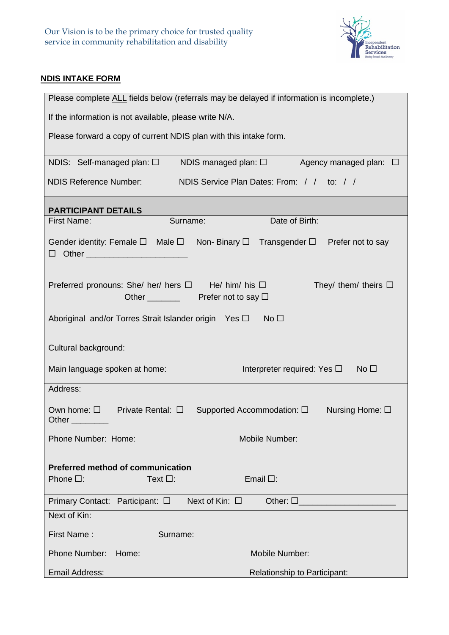

## **NDIS INTAKE FORM**

| Please complete ALL fields below (referrals may be delayed if information is incomplete.)                                                           |  |  |  |  |  |
|-----------------------------------------------------------------------------------------------------------------------------------------------------|--|--|--|--|--|
| If the information is not available, please write N/A.                                                                                              |  |  |  |  |  |
| Please forward a copy of current NDIS plan with this intake form.                                                                                   |  |  |  |  |  |
| NDIS: Self-managed plan: $\square$ NDIS managed plan: $\square$ Agency managed plan: $\square$                                                      |  |  |  |  |  |
| <b>NDIS Reference Number:</b><br>NDIS Service Plan Dates: From: / / to: / /                                                                         |  |  |  |  |  |
| <b>PARTICIPANT DETAILS</b>                                                                                                                          |  |  |  |  |  |
| Date of Birth:<br><b>First Name:</b><br>Surname:                                                                                                    |  |  |  |  |  |
| Gender identity: Female $\square$ Male $\square$ Non- Binary $\square$ Transgender $\square$ Prefer not to say<br>□ Other _________________________ |  |  |  |  |  |
| Preferred pronouns: She/ her/ hers $\Box$ He/ him/ his $\Box$<br>They/ them/ theirs $\Box$<br>Other $\sqrt{ }$ Prefer not to say $\Box$             |  |  |  |  |  |
| Aboriginal and/or Torres Strait Islander origin Yes $\square$ No $\square$                                                                          |  |  |  |  |  |
| Cultural background:                                                                                                                                |  |  |  |  |  |
| Main language spoken at home:<br>Interpreter required: Yes $\square$<br>No <sub>1</sub>                                                             |  |  |  |  |  |
| Address:                                                                                                                                            |  |  |  |  |  |
| Own home: $\square$ Private Rental: $\square$ Supported Accommodation: $\square$<br>Nursing Home: $\square$<br>Other _________                      |  |  |  |  |  |
| Phone Number: Home:<br>Mobile Number:                                                                                                               |  |  |  |  |  |
| <b>Preferred method of communication</b><br>Phone $\square$ :<br>Text $\square$ :<br>Email $\Box$ :                                                 |  |  |  |  |  |
| Next of Kin: $\square$<br>Other: $\square$<br>Primary Contact: Participant: □                                                                       |  |  |  |  |  |
| Next of Kin:                                                                                                                                        |  |  |  |  |  |
| First Name:<br>Surname:                                                                                                                             |  |  |  |  |  |
| Phone Number:<br>Mobile Number:<br>Home:                                                                                                            |  |  |  |  |  |
| Email Address:<br>Relationship to Participant:                                                                                                      |  |  |  |  |  |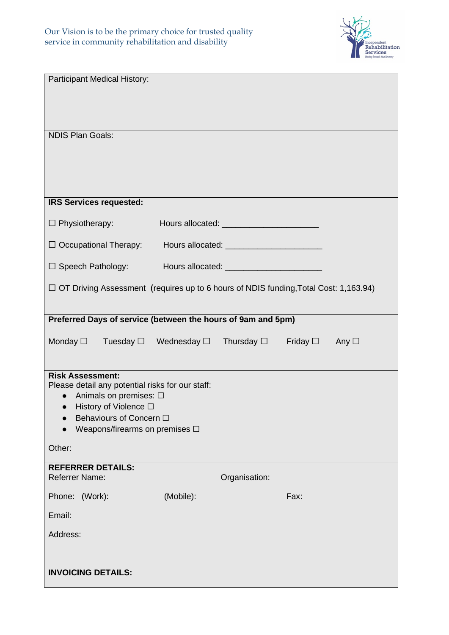

| <b>Participant Medical History:</b>                                                                                                                                                                                          |           |               |      |  |  |  |
|------------------------------------------------------------------------------------------------------------------------------------------------------------------------------------------------------------------------------|-----------|---------------|------|--|--|--|
| <b>NDIS Plan Goals:</b>                                                                                                                                                                                                      |           |               |      |  |  |  |
|                                                                                                                                                                                                                              |           |               |      |  |  |  |
|                                                                                                                                                                                                                              |           |               |      |  |  |  |
| <b>IRS Services requested:</b>                                                                                                                                                                                               |           |               |      |  |  |  |
| $\Box$ Physiotherapy:                                                                                                                                                                                                        |           |               |      |  |  |  |
| $\Box$ Occupational Therapy:                                                                                                                                                                                                 |           |               |      |  |  |  |
|                                                                                                                                                                                                                              |           |               |      |  |  |  |
| $\Box$ Speech Pathology:                                                                                                                                                                                                     |           |               |      |  |  |  |
| □ OT Driving Assessment (requires up to 6 hours of NDIS funding, Total Cost: 1,163.94)                                                                                                                                       |           |               |      |  |  |  |
| Preferred Days of service (between the hours of 9am and 5pm)                                                                                                                                                                 |           |               |      |  |  |  |
| Monday $\Box$ Tuesday $\Box$ Wednesday $\Box$ Thursday $\Box$ Friday $\Box$ Any $\Box$                                                                                                                                       |           |               |      |  |  |  |
| <b>Risk Assessment:</b><br>Please detail any potential risks for our staff:<br>Animals on premises: □<br>$\bullet$<br>$\bullet$ History of Violence $\Box$<br>Behaviours of Concern □<br>Weapons/firearms on premises $\Box$ |           |               |      |  |  |  |
| Other:                                                                                                                                                                                                                       |           |               |      |  |  |  |
| <b>REFERRER DETAILS:</b><br><b>Referrer Name:</b>                                                                                                                                                                            |           | Organisation: |      |  |  |  |
| Phone: (Work):                                                                                                                                                                                                               | (Mobile): |               | Fax: |  |  |  |
| Email:                                                                                                                                                                                                                       |           |               |      |  |  |  |
| Address:                                                                                                                                                                                                                     |           |               |      |  |  |  |
| <b>INVOICING DETAILS:</b>                                                                                                                                                                                                    |           |               |      |  |  |  |